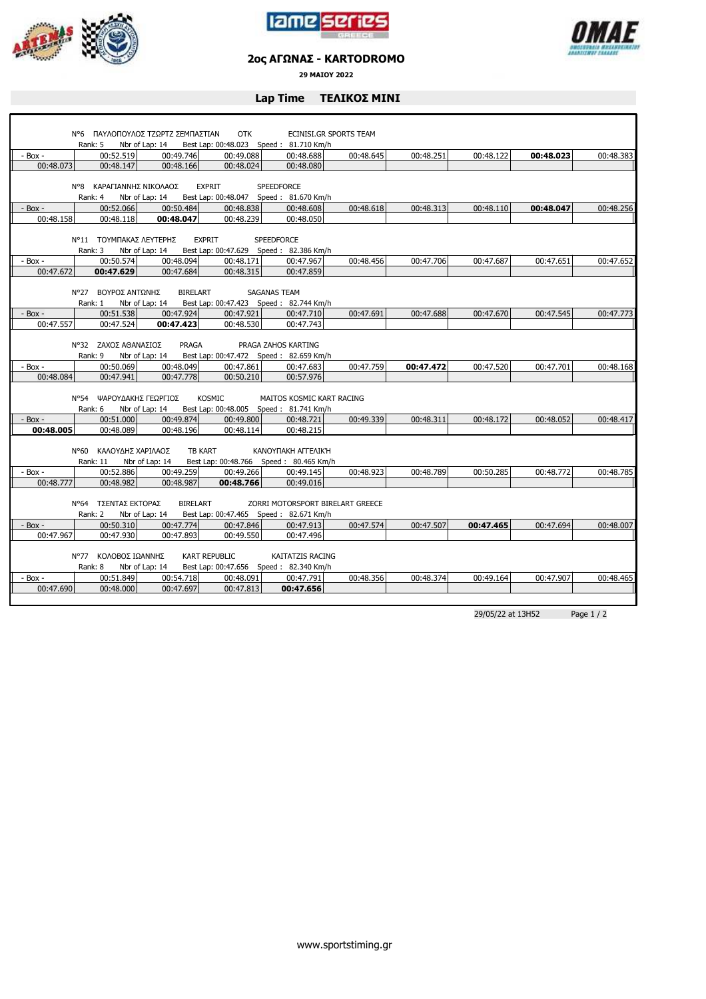





## **2ος ΑΓΩΝΑΣ - KARTODROMO**

**29 ΜΑΙΟΥ 2022**

## **Lap Time ΤΕΛΙΚΟΣ ΜΙΝΙ**

|                          | Ν°6 ΠΑΥΛΟΠΟΥΛΟΣ ΤΖΩΡΤΖ ΣΕΜΠΑΣΤΙΑΝ                                                                          |                 | <b>OTK</b>           |                                        | ECINISI.GR SPORTS TEAM |           |           |           |           |  |
|--------------------------|------------------------------------------------------------------------------------------------------------|-----------------|----------------------|----------------------------------------|------------------------|-----------|-----------|-----------|-----------|--|
|                          | Rank: 5                                                                                                    | Nbr of Lap: 14  |                      | Best Lap: 00:48.023 Speed: 81.710 Km/h |                        |           |           |           |           |  |
| - Box -                  | 00:52.519                                                                                                  | 00:49.746       | 00:49.088            | 00:48.688                              | 00:48.645              | 00:48.251 | 00:48.122 | 00:48.023 | 00:48.383 |  |
| 00:48.073                | 00:48.147                                                                                                  | 00:48.166       | 00:48.024            | 00:48.080                              |                        |           |           |           |           |  |
|                          |                                                                                                            |                 |                      |                                        |                        |           |           |           |           |  |
|                          | N°8 ΚΑΡΑΓΙΑΝΝΗΣ ΝΙΚΟΛΑΟΣ<br><b>EXPRIT</b><br><b>SPEEDFORCE</b><br>Best Lap: 00:48.047   Speed: 81.670 Km/h |                 |                      |                                        |                        |           |           |           |           |  |
|                          | Rank: 4                                                                                                    | Nbr of Lap: 14  |                      |                                        |                        |           |           |           |           |  |
| $-$ Box $-$<br>00:48.158 | 00:52.066<br>00:48.118                                                                                     | 00:50.484       | 00:48.838            | 00:48.608                              | 00:48.618              | 00:48.313 | 00:48.110 | 00:48.047 | 00:48.256 |  |
|                          |                                                                                                            | 00:48.047       | 00:48.239            | 00:48.050                              |                        |           |           |           |           |  |
|                          | Ν°11 ΤΟΥΜΠΑΚΑΣ ΛΕΥΤΕΡΗΣ                                                                                    |                 | <b>EXPRIT</b>        | <b>SPEEDFORCE</b>                      |                        |           |           |           |           |  |
|                          | Rank: 3                                                                                                    | Nbr of Lap: 14  |                      | Best Lap: 00:47.629 Speed: 82.386 Km/h |                        |           |           |           |           |  |
| - Box -                  | 00:50.574                                                                                                  | 00:48.094       | 00:48.171            | 00:47.967                              | 00:48.456              | 00:47.706 | 00:47.687 | 00:47.651 | 00:47.652 |  |
| 00:47.672                | 00:47.629                                                                                                  | 00:47.684       | 00:48.315            | 00:47.859                              |                        |           |           |           |           |  |
|                          |                                                                                                            |                 |                      |                                        |                        |           |           |           |           |  |
|                          | N°27 BOYPOΣ ANTΩNHΣ                                                                                        | <b>BIRELART</b> |                      | <b>SAGANAS TEAM</b>                    |                        |           |           |           |           |  |
|                          | Rank: 1                                                                                                    | Nbr of Lap: 14  |                      | Best Lap: 00:47.423 Speed: 82.744 Km/h |                        |           |           |           |           |  |
| $-$ Box $-$              | 00:51.538                                                                                                  | 00:47.924       | 00:47.921            | 00:47.710                              | 00:47.691              | 00:47.688 | 00:47.670 | 00:47.545 | 00:47.773 |  |
| 00:47.557                | 00:47.524                                                                                                  | 00:47.423       | 00:48.530            | 00:47.743                              |                        |           |           |           |           |  |
|                          |                                                                                                            |                 |                      |                                        |                        |           |           |           |           |  |
|                          | N°32 ZAXO ΣΑΘΑΝΑΣΙΟΣ                                                                                       | PRAGA           |                      | PRAGA ZAHOS KARTING                    |                        |           |           |           |           |  |
|                          | Rank: 9                                                                                                    | Nbr of Lap: 14  |                      | Best Lap: 00:47.472 Speed: 82.659 Km/h |                        |           |           |           |           |  |
| - Box -                  | 00:50.069                                                                                                  | 00:48.049       | 00:47.861            | 00:47.683                              | 00:47.759              | 00:47.472 | 00:47.520 | 00:47.701 | 00:48.168 |  |
| 00:48.084                | 00:47.941                                                                                                  | 00:47.778       | 00:50.210            | 00:57.976                              |                        |           |           |           |           |  |
|                          |                                                                                                            |                 |                      |                                        |                        |           |           |           |           |  |
|                          | Ν°54 ΨΑΡΟΥΔΑΚΗΣ ΓΕΩΡΓΙΟΣ                                                                                   |                 | KOSMIC               | MAITOS KOSMIC KART RACING              |                        |           |           |           |           |  |
|                          | Rank: 6                                                                                                    | Nbr of Lap: 14  |                      | Best Lap: 00:48.005 Speed: 81.741 Km/h |                        |           |           |           |           |  |
| $-$ Box $-$              | 00:51.000                                                                                                  | 00:49.874       | 00:49.800            | 00:48.721                              | 00:49.339              | 00:48.311 | 00:48.172 | 00:48.052 | 00:48.417 |  |
| 00:48.005                | 00:48.089                                                                                                  | 00:48.196       | 00:48.114            | 00:48.215                              |                        |           |           |           |           |  |
|                          |                                                                                                            |                 |                      |                                        |                        |           |           |           |           |  |
|                          | Ν°60 ΚΑΛΟΥΔΗΣ ΧΑΡΙΛΑΟΣ                                                                                     |                 | <b>TB KART</b>       | KANOYΠAKH AΓΓΕΛΙΚΉ                     |                        |           |           |           |           |  |
|                          | Rank: 11                                                                                                   | Nbr of Lap: 14  |                      | Best Lap: 00:48.766 Speed: 80.465 Km/h |                        |           |           |           |           |  |
| $-$ Box $-$              | 00:52.886                                                                                                  | 00:49.259       | 00:49.266            | 00:49.145                              | 00:48.923              | 00:48.789 | 00:50.285 | 00:48.772 | 00:48.785 |  |
| 00:48.777                | 00:48.982                                                                                                  | 00:48.987       | 00:48.766            | 00:49.016                              |                        |           |           |           |           |  |
|                          |                                                                                                            |                 |                      |                                        |                        |           |           |           |           |  |
|                          | Ν°64 ΤΣΕΝΤΑΣ ΕΚΤΟΡΑΣ                                                                                       | <b>BIRELART</b> |                      | ZORRI MOTORSPORT BIRELART GREECE       |                        |           |           |           |           |  |
|                          | Rank: 2                                                                                                    | Nbr of Lap: 14  |                      | Best Lap: 00:47.465 Speed: 82.671 Km/h |                        |           |           |           |           |  |
| - Box -                  | 00:50.310                                                                                                  | 00:47.774       | 00:47.846            | 00:47.913                              | 00:47.574              | 00:47.507 | 00:47.465 | 00:47.694 | 00:48.007 |  |
| 00:47.967                | 00:47.930                                                                                                  | 00:47.893       | 00:49.550            | 00:47.496                              |                        |           |           |           |           |  |
|                          |                                                                                                            |                 |                      |                                        |                        |           |           |           |           |  |
|                          | Ν°77 ΚΟΛΟΒΟΣ ΙΩΑΝΝΗΣ                                                                                       |                 | <b>KART REPUBLIC</b> | KAITATZIS RACING                       |                        |           |           |           |           |  |
|                          | Rank: 8                                                                                                    | Nbr of Lap: 14  |                      | Best Lap: 00:47.656 Speed: 82.340 Km/h |                        |           |           |           |           |  |
| - Box -                  | 00:51.849                                                                                                  | 00:54.718       | 00:48.091            | 00:47.791                              | 00:48.356              | 00:48.374 | 00:49.164 | 00:47.907 | 00:48.465 |  |
| 00:47.690                | 00:48.000                                                                                                  | 00:47.697       | 00:47.813            | 00:47.656                              |                        |           |           |           |           |  |
|                          |                                                                                                            |                 |                      |                                        |                        |           |           |           |           |  |

29/05/22 at 13H52 Page 1 / 2